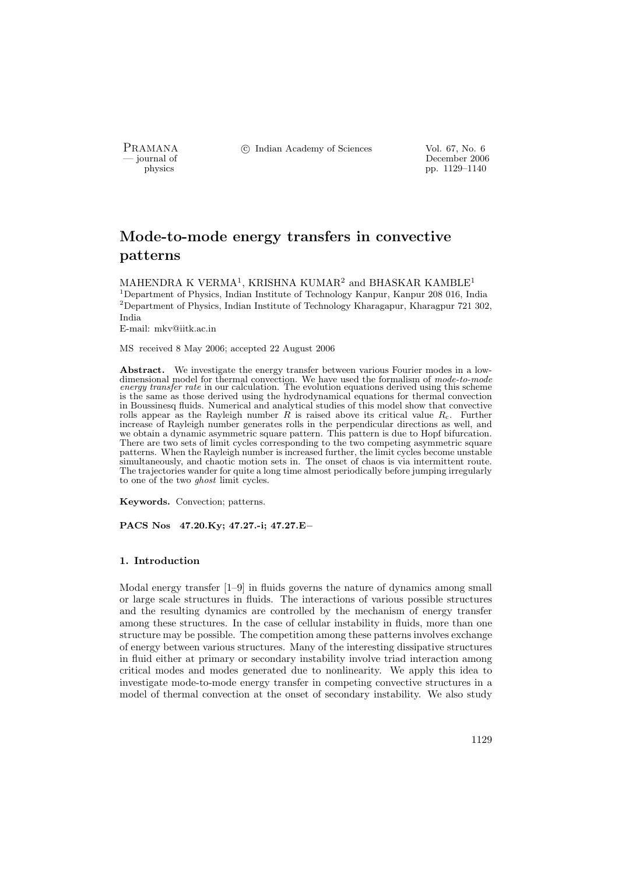PRAMANA <sup>©</sup>© Indian Academy of Sciences Vol. 67, No. 6<br>
— journal of December 2006

physics<br>
and the physics<br>  $\frac{1129-1140}{p}$ pp. 1129–1140

# Mode-to-mode energy transfers in convective patterns

MAHENDRA K VERMA $^1,$ KRISHNA KUMAR $^2$  and BHASKAR KAMBLE $^1$ <sup>1</sup>Department of Physics, Indian Institute of Technology Kanpur, Kanpur 208 016, India <sup>2</sup>Department of Physics, Indian Institute of Technology Kharagapur, Kharagpur 721 302, India

E-mail: mkv@iitk.ac.in

MS received 8 May 2006; accepted 22 August 2006

Abstract. We investigate the energy transfer between various Fourier modes in a lowdimensional model for thermal convection. We have used the formalism of *mode-to-mode* energy transfer rate in our calculation. The evolution equations derived using this scheme is the same as those derived using the hydrodynamical equations for thermal convection in Boussinesq fluids. Numerical and analytical studies of this model show that convective rolls appear as the Rayleigh number  $\tilde{R}$  is raised above its critical value  $R_c$ . Further increase of Rayleigh number generates rolls in the perpendicular directions as well, and we obtain a dynamic asymmetric square pattern. This pattern is due to Hopf bifurcation. There are two sets of limit cycles corresponding to the two competing asymmetric square patterns. When the Rayleigh number is increased further, the limit cycles become unstable simultaneously, and chaotic motion sets in. The onset of chaos is via intermittent route. The trajectories wander for quite a long time almost periodically before jumping irregularly to one of the two ghost limit cycles.

Keywords. Convection; patterns.

PACS Nos 47.20.Ky; 47.27.-i; 47.27.E−

# 1. Introduction

Modal energy transfer [1–9] in fluids governs the nature of dynamics among small or large scale structures in fluids. The interactions of various possible structures and the resulting dynamics are controlled by the mechanism of energy transfer among these structures. In the case of cellular instability in fluids, more than one structure may be possible. The competition among these patterns involves exchange of energy between various structures. Many of the interesting dissipative structures in fluid either at primary or secondary instability involve triad interaction among critical modes and modes generated due to nonlinearity. We apply this idea to investigate mode-to-mode energy transfer in competing convective structures in a model of thermal convection at the onset of secondary instability. We also study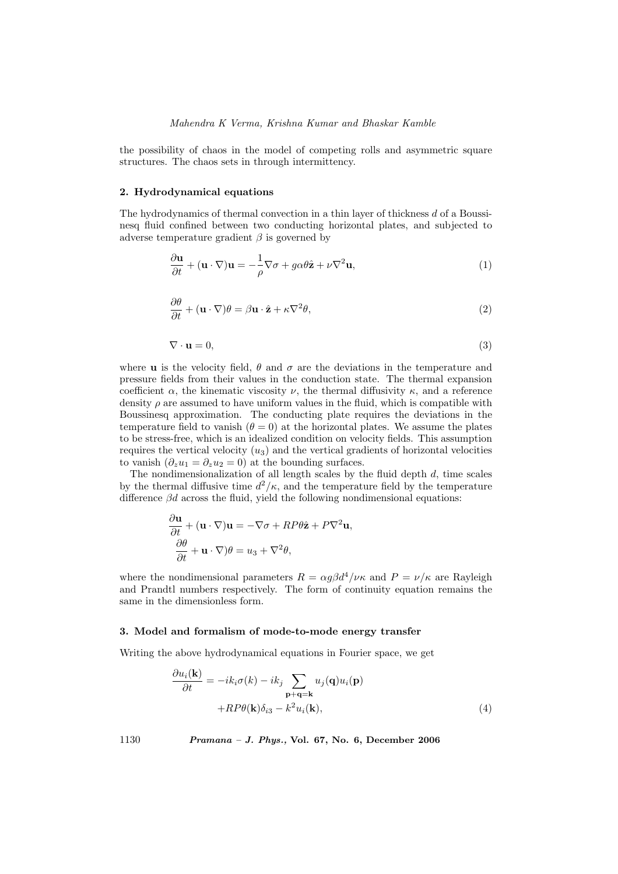the possibility of chaos in the model of competing rolls and asymmetric square structures. The chaos sets in through intermittency.

# 2. Hydrodynamical equations

The hydrodynamics of thermal convection in a thin layer of thickness d of a Boussinesq fluid confined between two conducting horizontal plates, and subjected to adverse temperature gradient  $\beta$  is governed by

$$
\frac{\partial \mathbf{u}}{\partial t} + (\mathbf{u} \cdot \nabla) \mathbf{u} = -\frac{1}{\rho} \nabla \sigma + g \alpha \theta \hat{\mathbf{z}} + \nu \nabla^2 \mathbf{u},\tag{1}
$$

$$
\frac{\partial \theta}{\partial t} + (\mathbf{u} \cdot \nabla)\theta = \beta \mathbf{u} \cdot \hat{\mathbf{z}} + \kappa \nabla^2 \theta,
$$
\n(2)

$$
\nabla \cdot \mathbf{u} = 0,\tag{3}
$$

where **u** is the velocity field,  $\theta$  and  $\sigma$  are the deviations in the temperature and pressure fields from their values in the conduction state. The thermal expansion coefficient  $\alpha$ , the kinematic viscosity  $\nu$ , the thermal diffusivity  $\kappa$ , and a reference density  $\rho$  are assumed to have uniform values in the fluid, which is compatible with Boussinesq approximation. The conducting plate requires the deviations in the temperature field to vanish  $(\theta = 0)$  at the horizontal plates. We assume the plates to be stress-free, which is an idealized condition on velocity fields. This assumption requires the vertical velocity  $(u_3)$  and the vertical gradients of horizontal velocities to vanish  $(\partial_z u_1 = \partial_z u_2 = 0)$  at the bounding surfaces.

The nondimensionalization of all length scales by the fluid depth  $d$ , time scales by the thermal diffusive time  $d^2/\kappa$ , and the temperature field by the temperature difference  $\beta d$  across the fluid, yield the following nondimensional equations:

$$
\frac{\partial \mathbf{u}}{\partial t} + (\mathbf{u} \cdot \nabla) \mathbf{u} = -\nabla \sigma + RP\theta \hat{\mathbf{z}} + P\nabla^2 \mathbf{u},
$$

$$
\frac{\partial \theta}{\partial t} + \mathbf{u} \cdot \nabla) \theta = u_3 + \nabla^2 \theta,
$$

where the nondimensional parameters  $R = \alpha g \beta d^4/\nu \kappa$  and  $P = \nu/\kappa$  are Rayleigh and Prandtl numbers respectively. The form of continuity equation remains the same in the dimensionless form.

## 3. Model and formalism of mode-to-mode energy transfer

Writing the above hydrodynamical equations in Fourier space, we get

$$
\frac{\partial u_i(\mathbf{k})}{\partial t} = -ik_i\sigma(k) - ik_j \sum_{\mathbf{p}+\mathbf{q}=\mathbf{k}} u_j(\mathbf{q})u_i(\mathbf{p})
$$

$$
+RP\theta(\mathbf{k})\delta_{i3} - k^2 u_i(\mathbf{k}), \tag{4}
$$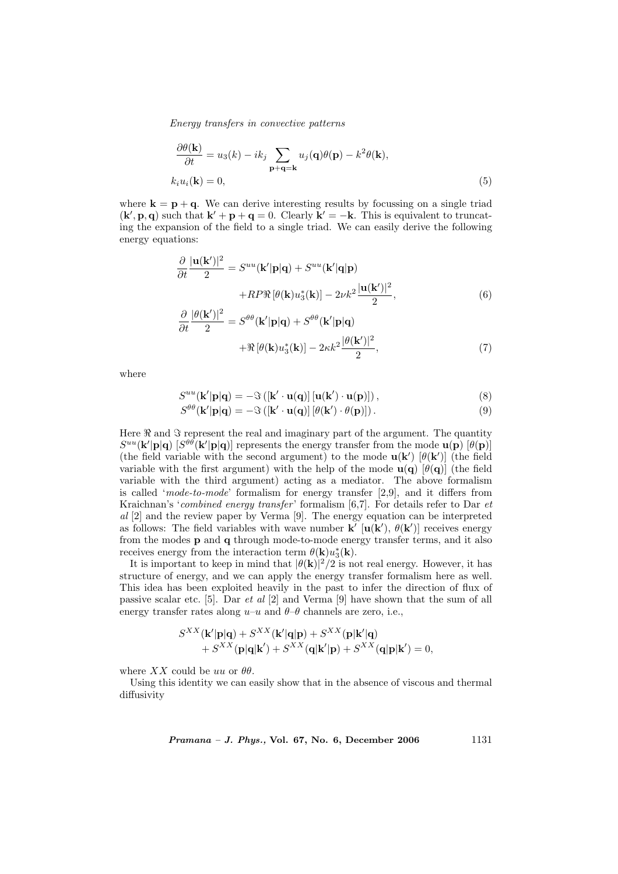$$
\frac{\partial \theta(\mathbf{k})}{\partial t} = u_3(k) - ik_j \sum_{\mathbf{p}+\mathbf{q}=\mathbf{k}} u_j(\mathbf{q})\theta(\mathbf{p}) - k^2 \theta(\mathbf{k}),
$$
  

$$
k_i u_i(\mathbf{k}) = 0,
$$
 (5)

where  $\mathbf{k} = \mathbf{p} + \mathbf{q}$ . We can derive interesting results by focussing on a single triad  $(\mathbf{k}', \mathbf{p}, \mathbf{q})$  such that  $\mathbf{k}' + \mathbf{p} + \mathbf{q} = 0$ . Clearly  $\mathbf{k}' = -\mathbf{k}$ . This is equivalent to truncating the expansion of the field to a single triad. We can easily derive the following energy equations:

$$
\frac{\partial}{\partial t} \frac{|\mathbf{u}(\mathbf{k}')|^2}{2} = S^{uu}(\mathbf{k}'|\mathbf{p}|\mathbf{q}) + S^{uu}(\mathbf{k}'|\mathbf{q}|\mathbf{p})
$$

$$
+ RP\Re[\theta(\mathbf{k})u_3^*(\mathbf{k})] - 2\nu k^2 \frac{|\mathbf{u}(\mathbf{k}')|^2}{2},
$$
(6)  

$$
\frac{\partial |\theta(\mathbf{k}')|^2}{2} = \epsilon^{\theta \theta} \mathcal{L}(\mathbf{k}, \mathbf{k}) + \epsilon^{\theta \theta} \mathcal{L}(\mathbf{k}, \mathbf{k})
$$

$$
\frac{\partial}{\partial t} \frac{|\theta(\mathbf{k}')|^2}{2} = S^{\theta\theta}(\mathbf{k}'|\mathbf{p}|\mathbf{q}) + S^{\theta\theta}(\mathbf{k}'|\mathbf{p}|\mathbf{q}) + \Re[\theta(\mathbf{k})u_3^*(\mathbf{k})] - 2\kappa k^2 \frac{|\theta(\mathbf{k}')|^2}{2},\tag{7}
$$

where

$$
S^{uu}(\mathbf{k}'|\mathbf{p}|\mathbf{q}) = -\Im\left([\mathbf{k}' \cdot \mathbf{u}(\mathbf{q})| [\mathbf{u}(\mathbf{k}') \cdot \mathbf{u}(\mathbf{p})]\right),\tag{8}
$$

$$
S^{\theta\theta}(\mathbf{k}'|\mathbf{p}|\mathbf{q}) = -\Im([\mathbf{k}' \cdot \mathbf{u}(\mathbf{q})] [\theta(\mathbf{k}') \cdot \theta(\mathbf{p})]). \tag{9}
$$

Here  $\Re$  and  $\Im$  represent the real and imaginary part of the argument. The quantity  $S^{uu}(\mathbf{k}'|\mathbf{p}|\mathbf{q})$  [ $S^{\theta\theta}(\mathbf{k}'|\mathbf{p}|\mathbf{q})$ ] represents the energy transfer from the mode  $\mathbf{u}(\mathbf{p})$  [ $\theta(\mathbf{p})$ ] (the field variable with the second argument) to the mode  $\mathbf{u}(\mathbf{k}')$  [ $\theta(\mathbf{k}')$ ] (the field variable with the first argument) with the help of the mode  $\mathbf{u}(\mathbf{q}) [\theta(\mathbf{q})]$  (the field variable with the third argument) acting as a mediator. The above formalism is called 'mode-to-mode' formalism for energy transfer  $[2,9]$ , and it differs from Kraichnan's 'combined energy transfer' formalism  $[6,7]$ . For details refer to Dar et al [2] and the review paper by Verma [9]. The energy equation can be interpreted as follows: The field variables with wave number  $\mathbf{k}'$  [ $\mathbf{u}(\mathbf{k}')$ ,  $\theta(\mathbf{k}')$ ] receives energy from the modes p and q through mode-to-mode energy transfer terms, and it also receives energy from the interaction term  $\theta(\mathbf{k})u_3^*(\mathbf{k})$ .

It is important to keep in mind that  $|\theta(\mathbf{k})|^2/2$  is not real energy. However, it has structure of energy, and we can apply the energy transfer formalism here as well. This idea has been exploited heavily in the past to infer the direction of flux of passive scalar etc. [5]. Dar et al [2] and Verma [9] have shown that the sum of all energy transfer rates along  $u-u$  and  $\theta-\theta$  channels are zero, i.e.,

$$
S^{XX}(\mathbf{k}'|\mathbf{p}|\mathbf{q}) + S^{XX}(\mathbf{k}'|\mathbf{q}|\mathbf{p}) + S^{XX}(\mathbf{p}|\mathbf{k}'|\mathbf{q}) + S^{XX}(\mathbf{p}|\mathbf{q}|\mathbf{k}') + S^{XX}(\mathbf{q}|\mathbf{k}'|\mathbf{p}) + S^{XX}(\mathbf{q}|\mathbf{p}|\mathbf{k}') = 0,
$$

where XX could be uu or  $\theta\theta$ .

Using this identity we can easily show that in the absence of viscous and thermal diffusivity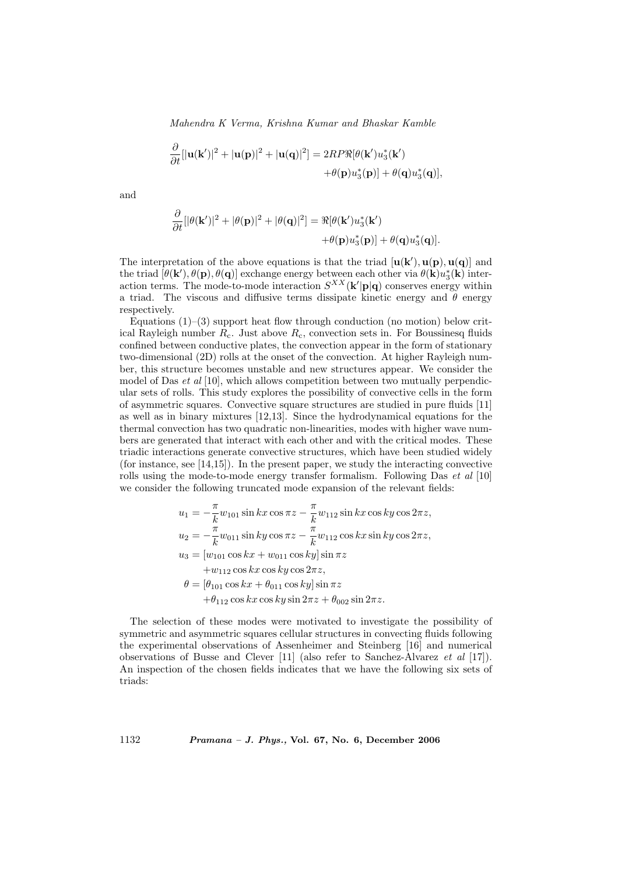$$
\frac{\partial}{\partial t}[\mathbf{u}(\mathbf{k}')|^2 + \mathbf{u}(\mathbf{p})|^2 + \mathbf{u}(\mathbf{q})|^2] = 2RP\Re[\theta(\mathbf{k}')u_3^*(\mathbf{k}')+\theta(\mathbf{p})u_3^*(\mathbf{p})] + \theta(\mathbf{q})u_3^*(\mathbf{q})],
$$

and

∂

∂

$$
\frac{\partial}{\partial t} [|\theta(\mathbf{k}')|^2 + |\theta(\mathbf{p})|^2 + |\theta(\mathbf{q})|^2] = \Re[\theta(\mathbf{k}')u_3^*(\mathbf{k}')+\theta(\mathbf{p})u_3^*(\mathbf{p})] + \theta(\mathbf{q})u_3^*(\mathbf{q})].
$$

The interpretation of the above equations is that the triad  $[\mathbf{u}(\mathbf{k}'), \mathbf{u}(\mathbf{p}), \mathbf{u}(\mathbf{q})]$  and the triad  $[\theta(\mathbf{k}'), \theta(\mathbf{p}), \theta(\mathbf{q})]$  exchange energy between each other via  $\theta(\mathbf{k})u_3^*(\mathbf{k})$  interaction terms. The mode-to-mode interaction  $S^{XX}(\mathbf{k}'|\mathbf{p}|\mathbf{q})$  conserves energy within a triad. The viscous and diffusive terms dissipate kinetic energy and  $\theta$  energy respectively.

Equations  $(1)$ – $(3)$  support heat flow through conduction (no motion) below critical Rayleigh number  $R_c$ . Just above  $R_c$ , convection sets in. For Boussinesq fluids confined between conductive plates, the convection appear in the form of stationary two-dimensional (2D) rolls at the onset of the convection. At higher Rayleigh number, this structure becomes unstable and new structures appear. We consider the model of Das  $et \text{ al } [10]$ , which allows competition between two mutually perpendicular sets of rolls. This study explores the possibility of convective cells in the form of asymmetric squares. Convective square structures are studied in pure fluids [11] as well as in binary mixtures [12,13]. Since the hydrodynamical equations for the thermal convection has two quadratic non-linearities, modes with higher wave numbers are generated that interact with each other and with the critical modes. These triadic interactions generate convective structures, which have been studied widely (for instance, see [14,15]). In the present paper, we study the interacting convective rolls using the mode-to-mode energy transfer formalism. Following Das  $et \ al \ [10]$ we consider the following truncated mode expansion of the relevant fields:

$$
u_1 = -\frac{\pi}{k} w_{101} \sin kx \cos \pi z - \frac{\pi}{k} w_{112} \sin kx \cos ky \cos 2\pi z,u_2 = -\frac{\pi}{k} w_{011} \sin ky \cos \pi z - \frac{\pi}{k} w_{112} \cos kx \sin ky \cos 2\pi z,u_3 = [w_{101} \cos kx + w_{011} \cos ky] \sin \pi z+ w_{112} \cos kx \cos ky \cos 2\pi z,
$$
\theta = [\theta_{101} \cos kx + \theta_{011} \cos ky] \sin \pi z+ \theta_{112} \cos kx \cos ky \sin 2\pi z + \theta_{002} \sin 2\pi z.
$$
$$

The selection of these modes were motivated to investigate the possibility of symmetric and asymmetric squares cellular structures in convecting fluids following the experimental observations of Assenheimer and Steinberg [16] and numerical observations of Busse and Clever [11] (also refer to Sanchez-Alvarez et al [17]). An inspection of the chosen fields indicates that we have the following six sets of triads: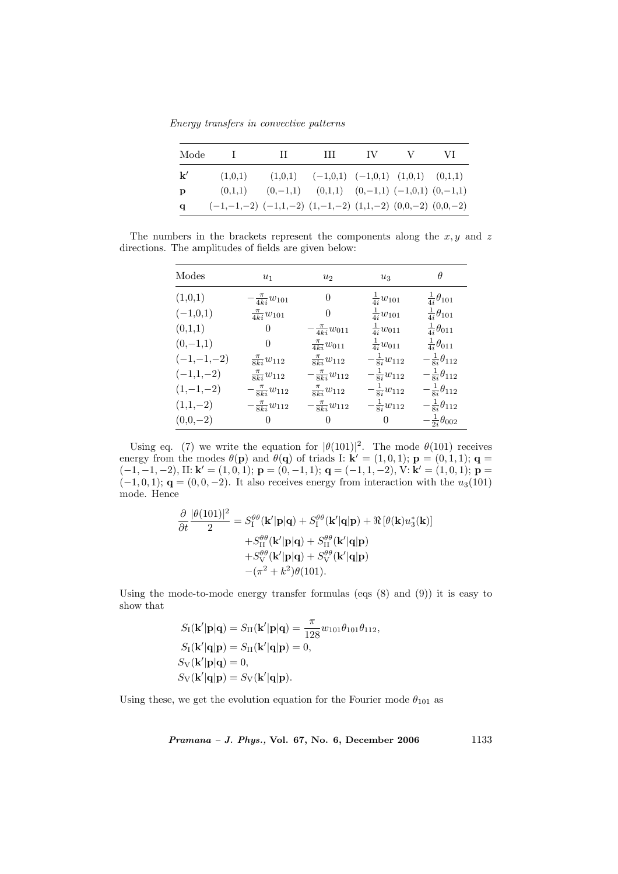Energy transfers in convective patterns

| Mode          |                                                                       | $\mathbf{H}$ | $\mathbf{H}$                                          | - IV - | V | -VI |
|---------------|-----------------------------------------------------------------------|--------------|-------------------------------------------------------|--------|---|-----|
| $\mathbf{k}'$ | (1,0,1)                                                               |              | $(1,0,1)$ $(-1,0,1)$ $(-1,0,1)$ $(1,0,1)$ $(0,1,1)$   |        |   |     |
| $\mathbf{p}$  | (0,1,1)                                                               |              | $(0,-1,1)$ $(0,1,1)$ $(0,-1,1)$ $(-1,0,1)$ $(0,-1,1)$ |        |   |     |
| q             | $(-1,-1,-2)$ $(-1,1,-2)$ $(1,-1,-2)$ $(1,1,-2)$ $(0,0,-2)$ $(0,0,-2)$ |              |                                                       |        |   |     |

The numbers in the brackets represent the components along the  $x, y$  and z directions. The amplitudes of fields are given below:

| Modes        | $u_1$                      | u <sub>2</sub>            | $u_3$                  | $\theta$                    |
|--------------|----------------------------|---------------------------|------------------------|-----------------------------|
| (1,0,1)      | $-\frac{\pi}{4k i}w_{101}$ | $\theta$                  | $\frac{1}{4i}w_{101}$  | $\frac{1}{4i}\theta_{101}$  |
| $(-1,0,1)$   | $\frac{\pi}{4k}w_{101}$    | 0                         | $\frac{1}{4i}w_{101}$  | $\frac{1}{4i}\theta_{101}$  |
| (0,1,1)      | 0                          | $-\frac{\pi}{4ki}w_{011}$ | $\frac{1}{4i}w_{011}$  | $\frac{1}{4i}\theta_{011}$  |
| $(0,-1,1)$   | 0                          | $\frac{\pi}{4k}w_{011}$   | $\frac{1}{4i}w_{011}$  | $\frac{1}{4i}\theta_{011}$  |
| $(-1,-1,-2)$ | $\frac{\pi}{8ki}w_{112}$   | $\frac{\pi}{8ki}w_{112}$  | $-\frac{1}{8i}w_{112}$ | $-\frac{1}{8i}\theta_{112}$ |
| $(-1,1,-2)$  | $\frac{\pi}{8ki}w_{112}$   | $-\frac{\pi}{8ki}w_{112}$ | $-\frac{1}{8i}w_{112}$ | $-\frac{1}{8i}\theta_{112}$ |
| $(1,-1,-2)$  | $-\frac{\pi}{8ki}w_{112}$  | $\frac{\pi}{8ki}w_{112}$  | $-\frac{1}{8i}w_{112}$ | $-\frac{1}{8i}\theta_{112}$ |
| $(1,1,-2)$   | $-\frac{\pi}{8ki}w_{112}$  | $-\frac{\pi}{8ki}w_{112}$ | $-\frac{1}{8i}w_{112}$ | $-\frac{1}{8i}\theta_{112}$ |
| $(0,0,-2)$   | 0                          | $\Omega$                  | 0                      | $-\frac{1}{2i}\theta_{002}$ |

Using eq. (7) we write the equation for  $|\theta(101)|^2$ . The mode  $\theta(101)$  receives energy from the modes  $\theta(\mathbf{p})$  and  $\theta(\mathbf{q})$  of triads I:  $\mathbf{k}' = (1, 0, 1)$ ;  $\mathbf{p} = (0, 1, 1)$ ;  $\mathbf{q} =$  $(-1, -1, -2)$ , II:  $\mathbf{k}' = (1, 0, 1)$ ;  $\mathbf{p} = (0, -1, 1)$ ;  $\mathbf{q} = (-1, 1, -2)$ ,  $\mathbf{V}$ :  $\mathbf{k}' = (1, 0, 1)$ ;  $\mathbf{p} =$  $(-1, 0, 1);$   $\mathbf{q} = (0, 0, -2)$ . It also receives energy from interaction with the  $u_3(101)$ mode. Hence

$$
\frac{\partial}{\partial t} \frac{|\theta(101)|^2}{2} = S_1^{\theta\theta}(\mathbf{k}'|\mathbf{p}|\mathbf{q}) + S_1^{\theta\theta}(\mathbf{k}'|\mathbf{q}|\mathbf{p}) + \Re[\theta(\mathbf{k})u_3^*(\mathbf{k})] \n+ S_{II}^{\theta\theta}(\mathbf{k}'|\mathbf{p}|\mathbf{q}) + S_{II}^{\theta\theta}(\mathbf{k}'|\mathbf{q}|\mathbf{p}) \n+ S_{V}^{\theta\theta}(\mathbf{k}'|\mathbf{p}|\mathbf{q}) + S_{V}^{\theta\theta}(\mathbf{k}'|\mathbf{q}|\mathbf{p}) \n- (\pi^2 + k^2)\theta(101).
$$

Using the mode-to-mode energy transfer formulas (eqs  $(8)$  and  $(9)$ ) it is easy to show that

$$
S_{\mathrm{I}}(\mathbf{k}'|\mathbf{p}|\mathbf{q}) = S_{\mathrm{II}}(\mathbf{k}'|\mathbf{p}|\mathbf{q}) = \frac{\pi}{128} w_{101} \theta_{101} \theta_{112},
$$
  
\n
$$
S_{\mathrm{I}}(\mathbf{k}'|\mathbf{q}|\mathbf{p}) = S_{\mathrm{II}}(\mathbf{k}'|\mathbf{q}|\mathbf{p}) = 0,
$$
  
\n
$$
S_{\mathrm{V}}(\mathbf{k}'|\mathbf{p}|\mathbf{q}) = 0,
$$
  
\n
$$
S_{\mathrm{V}}(\mathbf{k}'|\mathbf{q}|\mathbf{p}) = S_{\mathrm{V}}(\mathbf{k}'|\mathbf{q}|\mathbf{p}).
$$

Using these, we get the evolution equation for the Fourier mode  $\theta_{101}$  as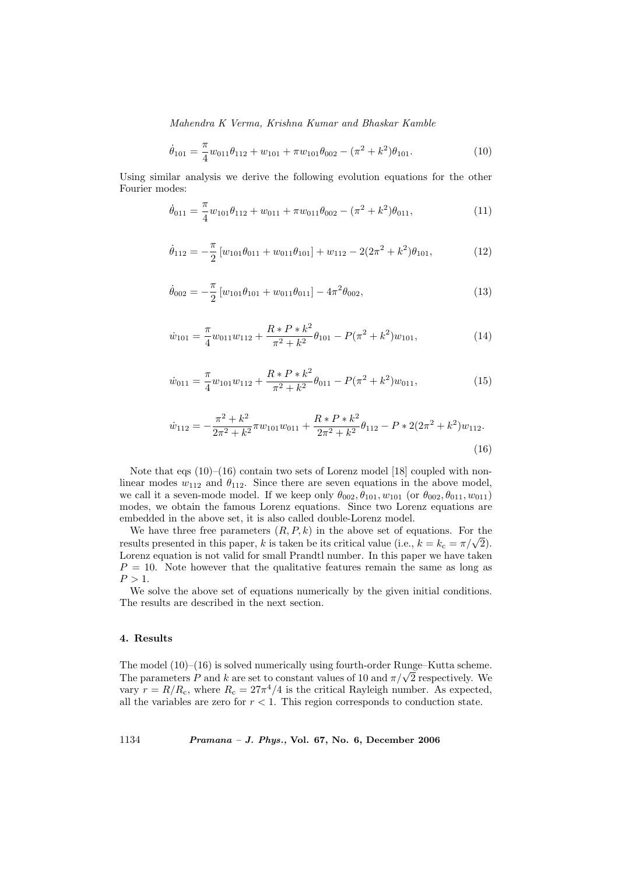$$
\dot{\theta}_{101} = \frac{\pi}{4} w_{011} \theta_{112} + w_{101} + \pi w_{101} \theta_{002} - (\pi^2 + k^2) \theta_{101}.
$$
 (10)

Using similar analysis we derive the following evolution equations for the other Fourier modes:

$$
\dot{\theta}_{011} = \frac{\pi}{4} w_{101} \theta_{112} + w_{011} + \pi w_{011} \theta_{002} - (\pi^2 + k^2) \theta_{011},
$$
\n(11)

$$
\dot{\theta}_{112} = -\frac{\pi}{2} \left[ w_{101} \theta_{011} + w_{011} \theta_{101} \right] + w_{112} - 2(2\pi^2 + k^2) \theta_{101}, \tag{12}
$$

$$
\dot{\theta}_{002} = -\frac{\pi}{2} \left[ w_{101} \theta_{101} + w_{011} \theta_{011} \right] - 4\pi^2 \theta_{002},\tag{13}
$$

$$
\dot{w}_{101} = \frac{\pi}{4} w_{011} w_{112} + \frac{R \ast P \ast k^2}{\pi^2 + k^2} \theta_{101} - P(\pi^2 + k^2) w_{101},\tag{14}
$$

$$
\dot{w}_{011} = \frac{\pi}{4} w_{101} w_{112} + \frac{R \ast P \ast k^2}{\pi^2 + k^2} \theta_{011} - P(\pi^2 + k^2) w_{011},\tag{15}
$$

$$
\dot{w}_{112} = -\frac{\pi^2 + k^2}{2\pi^2 + k^2} \pi w_{101} w_{011} + \frac{R \ast P \ast k^2}{2\pi^2 + k^2} \theta_{112} - P \ast 2(2\pi^2 + k^2) w_{112}.
$$
\n(16)

Note that eqs  $(10)$ – $(16)$  contain two sets of Lorenz model [18] coupled with nonlinear modes  $w_{112}$  and  $\theta_{112}$ . Since there are seven equations in the above model, we call it a seven-mode model. If we keep only  $\theta_{002}, \theta_{101}, w_{101}$  (or  $\theta_{002}, \theta_{011}, w_{011}$ ) modes, we obtain the famous Lorenz equations. Since two Lorenz equations are embedded in the above set, it is also called double-Lorenz model.

We have three free parameters  $(R, P, k)$  in the above set of equations. For the we have three free parameters  $(n, r, \kappa)$  in the above set of equations. For the results presented in this paper, k is taken be its critical value (i.e.,  $k = k_c = \pi/\sqrt{2}$ ). Lorenz equation is not valid for small Prandtl number. In this paper we have taken  $P = 10$ . Note however that the qualitative features remain the same as long as  $P > 1$ .

We solve the above set of equations numerically by the given initial conditions. The results are described in the next section.

## 4. Results

The model  $(10)–(16)$  is solved numerically using fourth-order Runge–Kutta scheme. The model (10)–(10) is solved numerically using fourth-order Kunge–Kutta scheme.<br>The parameters P and k are set to constant values of 10 and  $\pi/\sqrt{2}$  respectively. We vary  $r = R/R_c$ , where  $R_c = 27\pi^4/4$  is the critical Rayleigh number. As expected, all the variables are zero for  $r < 1$ . This region corresponds to conduction state.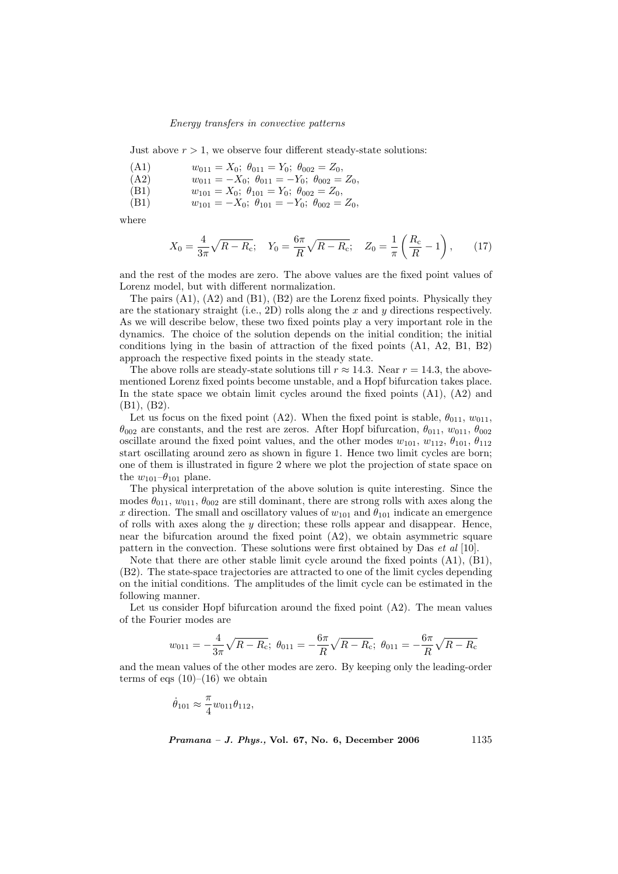Just above  $r > 1$ , we observe four different steady-state solutions:

- (A1)  $w_{011} = X_0$ ;  $\theta_{011} = Y_0$ ;  $\theta_{002} = Z_0$ , (A2)  $w_{011} = -X_0$ ;  $\theta_{011} = -Y_0$ ;  $\theta_{002} = Z_0$ ,
- (B1)  $w_{101} = X_0$ ;  $\theta_{101} = Y_0$ ;  $\theta_{002} = Z_0$ ,
- (B1)  $w_{101} = -X_0$ ;  $\theta_{101} = -Y_0$ ;  $\theta_{002} = Z_0$ ,

where

$$
X_0 = \frac{4}{3\pi} \sqrt{R - R_c}; \quad Y_0 = \frac{6\pi}{R} \sqrt{R - R_c}; \quad Z_0 = \frac{1}{\pi} \left(\frac{R_c}{R} - 1\right), \quad (17)
$$

and the rest of the modes are zero. The above values are the fixed point values of Lorenz model, but with different normalization.

The pairs  $(A1)$ ,  $(A2)$  and  $(B1)$ ,  $(B2)$  are the Lorenz fixed points. Physically they are the stationary straight (i.e., 2D) rolls along the x and y directions respectively. As we will describe below, these two fixed points play a very important role in the dynamics. The choice of the solution depends on the initial condition; the initial conditions lying in the basin of attraction of the fixed points (A1, A2, B1, B2) approach the respective fixed points in the steady state.

The above rolls are steady-state solutions till  $r \approx 14.3$ . Near  $r = 14.3$ , the abovementioned Lorenz fixed points become unstable, and a Hopf bifurcation takes place. In the state space we obtain limit cycles around the fixed points  $(A1)$ ,  $(A2)$  and (B1), (B2).

Let us focus on the fixed point (A2). When the fixed point is stable,  $\theta_{011}$ ,  $w_{011}$ ,  $\theta_{002}$  are constants, and the rest are zeros. After Hopf bifurcation,  $\theta_{011}$ ,  $w_{011}$ ,  $\theta_{002}$ oscillate around the fixed point values, and the other modes  $w_{101}$ ,  $w_{112}$ ,  $\theta_{101}$ ,  $\theta_{112}$ start oscillating around zero as shown in figure 1. Hence two limit cycles are born; one of them is illustrated in figure 2 where we plot the projection of state space on the  $w_{101}$ – $\theta_{101}$  plane.

The physical interpretation of the above solution is quite interesting. Since the modes  $\theta_{011}$ ,  $w_{011}$ ,  $\theta_{002}$  are still dominant, there are strong rolls with axes along the x direction. The small and oscillatory values of  $w_{101}$  and  $\theta_{101}$  indicate an emergence of rolls with axes along the  $y$  direction; these rolls appear and disappear. Hence, near the bifurcation around the fixed point  $(A2)$ , we obtain asymmetric square pattern in the convection. These solutions were first obtained by Das et al [10].

Note that there are other stable limit cycle around the fixed points (A1), (B1), (B2). The state-space trajectories are attracted to one of the limit cycles depending on the initial conditions. The amplitudes of the limit cycle can be estimated in the following manner.

Let us consider Hopf bifurcation around the fixed point (A2). The mean values of the Fourier modes are

$$
w_{011}=-\frac{4}{3\pi}\sqrt{R-R_{\rm c}};\,\,\theta_{011}=-\frac{6\pi}{R}\sqrt{R-R_{\rm c}};\,\,\theta_{011}=-\frac{6\pi}{R}\sqrt{R-R_{\rm c}}
$$

and the mean values of the other modes are zero. By keeping only the leading-order terms of eqs  $(10)–(16)$  we obtain

$$
\dot{\theta}_{101} \approx \frac{\pi}{4} w_{011} \theta_{112},
$$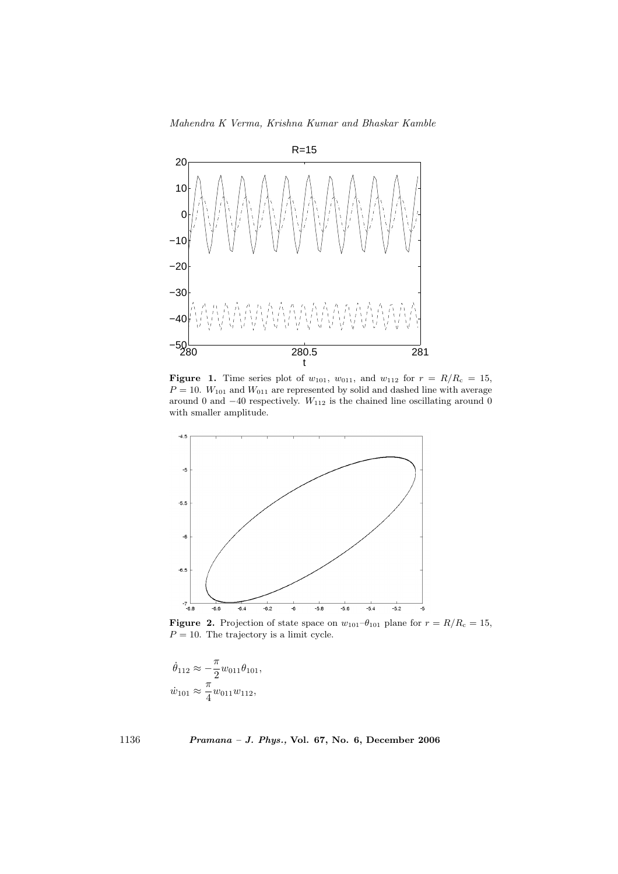Mahendra K Verma, Krishna Kumar and Bhaskar Kamble



**Figure 1.** Time series plot of  $w_{101}$ ,  $w_{011}$ , and  $w_{112}$  for  $r = R/R_c = 15$ ,  $P = 10$ .  $W_{101}$  and  $W_{011}$  are represented by solid and dashed line with average around 0 and  $-40$  respectively.  $W_{112}$  is the chained line oscillating around 0 with smaller amplitude.



**Figure 2.** Projection of state space on  $w_{101}-\theta_{101}$  plane for  $r = R/R_c = 15$ ,  $P = 10$ . The trajectory is a limit cycle.

$$
\dot{\theta}_{112} \approx -\frac{\pi}{2} w_{011} \theta_{101},
$$
  

$$
\dot{w}_{101} \approx \frac{\pi}{4} w_{011} w_{112},
$$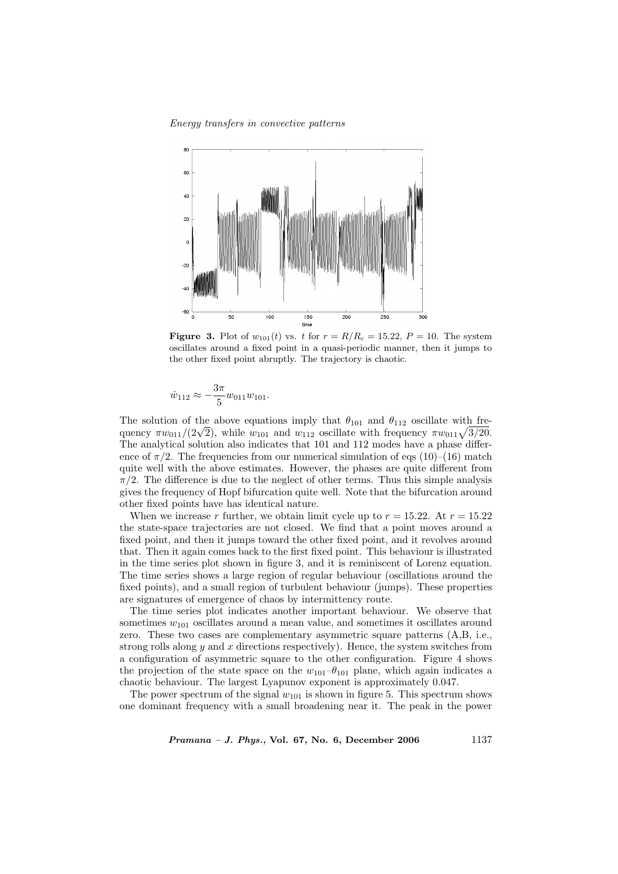

**Figure 3.** Plot of  $w_{101}(t)$  vs. t for  $r = R/R_c = 15.22$ ,  $P = 10$ . The system oscillates around a fixed point in a quasi-periodic manner, then it jumps to the other fixed point abruptly. The trajectory is chaotic.

$$
\dot{w}_{112} \approx -\frac{3\pi}{5} w_{011} w_{101}.
$$

The solution of the above equations imply that  $\theta_{101}$  and  $\theta_{112}$  oscillate with fre-The solution of the above equations imply that  $\theta_{101}$  and  $\theta_{112}$  oscillate with frequency  $\pi w_{011}/(2\sqrt{2})$ , while  $w_{101}$  and  $w_{112}$  oscillate with frequency  $\pi w_{011}\sqrt{3/20}$ . The analytical solution also indicates that 101 and 112 modes have a phase difference of  $\pi/2$ . The frequencies from our numerical simulation of eqs (10)–(16) match quite well with the above estimates. However, the phases are quite different from  $\pi/2$ . The difference is due to the neglect of other terms. Thus this simple analysis gives the frequency of Hopf bifurcation quite well. Note that the bifurcation around other fixed points have has identical nature.

When we increase r further, we obtain limit cycle up to  $r = 15.22$ . At  $r = 15.22$ the state-space trajectories are not closed. We find that a point moves around a fixed point, and then it jumps toward the other fixed point, and it revolves around that. Then it again comes back to the first fixed point. This behaviour is illustrated in the time series plot shown in figure 3, and it is reminiscent of Lorenz equation. The time series shows a large region of regular behaviour (oscillations around the fixed points), and a small region of turbulent behaviour (jumps). These properties are signatures of emergence of chaos by intermittency route.

The time series plot indicates another important behaviour. We observe that sometimes  $w_{101}$  oscillates around a mean value, and sometimes it oscillates around zero. These two cases are complementary asymmetric square patterns (A,B, i.e., strong rolls along  $y$  and  $x$  directions respectively). Hence, the system switches from a configuration of asymmetric square to the other configuration. Figure 4 shows the projection of the state space on the  $w_{101}-\theta_{101}$  plane, which again indicates a chaotic behaviour. The largest Lyapunov exponent is approximately 0.047.

The power spectrum of the signal  $w_{101}$  is shown in figure 5. This spectrum shows one dominant frequency with a small broadening near it. The peak in the power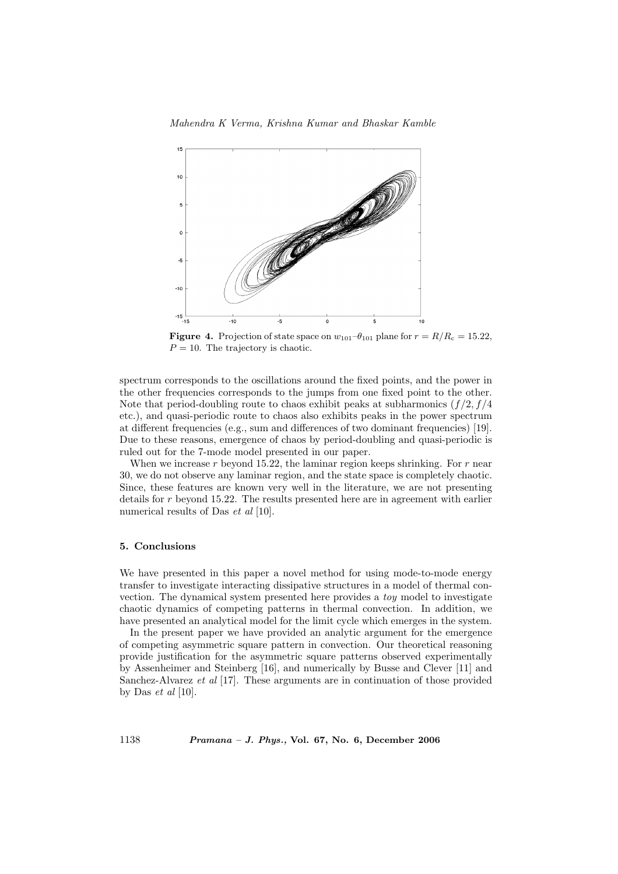

**Figure 4.** Projection of state space on  $w_{101}-\theta_{101}$  plane for  $r = R/R_c = 15.22$ ,  $P = 10$ . The trajectory is chaotic.

spectrum corresponds to the oscillations around the fixed points, and the power in the other frequencies corresponds to the jumps from one fixed point to the other. Note that period-doubling route to chaos exhibit peaks at subharmonics  $(f/2, f/4)$ etc.), and quasi-periodic route to chaos also exhibits peaks in the power spectrum at different frequencies (e.g., sum and differences of two dominant frequencies) [19]. Due to these reasons, emergence of chaos by period-doubling and quasi-periodic is ruled out for the 7-mode model presented in our paper.

When we increase  $r$  beyond 15.22, the laminar region keeps shrinking. For  $r$  near 30, we do not observe any laminar region, and the state space is completely chaotic. Since, these features are known very well in the literature, we are not presenting details for r beyond 15.22. The results presented here are in agreement with earlier numerical results of Das *et al* [10].

## 5. Conclusions

We have presented in this paper a novel method for using mode-to-mode energy transfer to investigate interacting dissipative structures in a model of thermal convection. The dynamical system presented here provides a toy model to investigate chaotic dynamics of competing patterns in thermal convection. In addition, we have presented an analytical model for the limit cycle which emerges in the system.

In the present paper we have provided an analytic argument for the emergence of competing asymmetric square pattern in convection. Our theoretical reasoning provide justification for the asymmetric square patterns observed experimentally by Assenheimer and Steinberg [16], and numerically by Busse and Clever [11] and Sanchez-Alvarez et al [17]. These arguments are in continuation of those provided by Das  $et \ al \ [10]$ .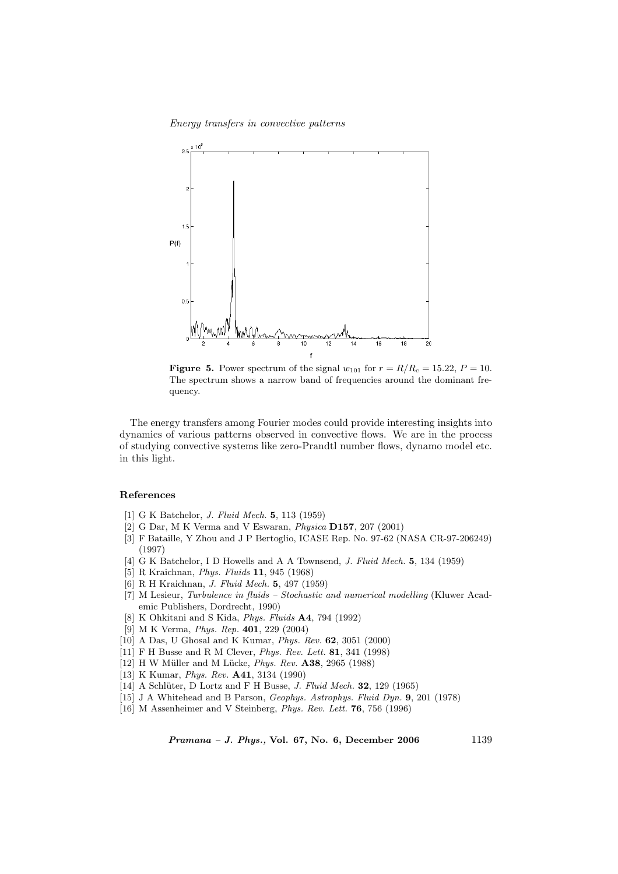

**Figure 5.** Power spectrum of the signal  $w_{101}$  for  $r = R/R_c = 15.22, P = 10$ . The spectrum shows a narrow band of frequencies around the dominant frequency.

The energy transfers among Fourier modes could provide interesting insights into dynamics of various patterns observed in convective flows. We are in the process of studying convective systems like zero-Prandtl number flows, dynamo model etc. in this light.

# References

- [1] G K Batchelor, *J. Fluid Mech.* **5**, 113 (1959)
- [2] G Dar, M K Verma and V Eswaran, Physica D157, 207 (2001)
- [3] F Bataille, Y Zhou and J P Bertoglio, ICASE Rep. No. 97-62 (NASA CR-97-206249) (1997)
- [4] G K Batchelor, I D Howells and A A Townsend, J. Fluid Mech. 5, 134 (1959)
- [5] R Kraichnan, Phys. Fluids 11, 945 (1968)
- [6] R H Kraichnan, J. Fluid Mech. 5, 497 (1959)
- [7] M Lesieur, Turbulence in fluids Stochastic and numerical modelling (Kluwer Academic Publishers, Dordrecht, 1990)
- [8] K Ohkitani and S Kida, Phys. Fluids A4, 794 (1992)
- [9] M K Verma, Phys. Rep. 401, 229 (2004)
- [10] A Das, U Ghosal and K Kumar, Phys. Rev. 62, 3051 (2000)
- [11] F H Busse and R M Clever, Phys. Rev. Lett. 81, 341 (1998)
- [12] H W Müller and M Lücke, Phys. Rev. A38, 2965 (1988)
- [13] K Kumar, Phys. Rev. A41, 3134 (1990)
- [14] A Schlüter, D Lortz and F H Busse, J. Fluid Mech.  $32$ , 129 (1965)
- [15] J A Whitehead and B Parson, Geophys. Astrophys. Fluid Dyn. 9, 201 (1978)
- [16] M Assenheimer and V Steinberg, Phys. Rev. Lett. 76, 756 (1996)